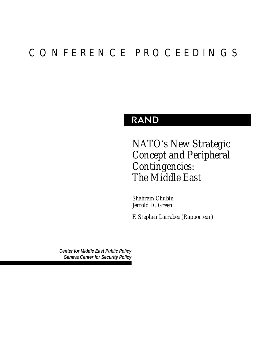# CONFERENCE PROCEEDINGS

## RAND

*NATO's New Strategic Concept and Peripheral Contingencies: The Middle East*

*Shahram Chubin Jerrold D. Green*

*F. Stephen Larrabee (Rapporteur)*

*Center for Middle East Public Policy Geneva Center for Security Policy*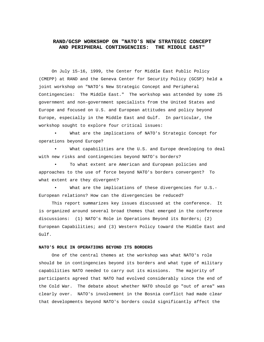### **RAND/GCSP WORKSHOP ON "NATO'S NEW STRATEGIC CONCEPT AND PERIPHERAL CONTINGENCIES: THE MIDDLE EAST"**

On July 15-16, 1999, the Center for Middle East Public Policy (CMEPP) at RAND and the Geneva Center for Security Policy (GCSP) held a joint workshop on "NATO's New Strategic Concept and Peripheral Contingencies: The Middle East." The workshop was attended by some 25 government and non-government specialists from the United States and Europe and focused on U.S. and European attitudes and policy beyond Europe, especially in the Middle East and Gulf. In particular, the workshop sought to explore four critical issues:

What are the implications of NATO's Strategic Concept for operations beyond Europe?

What capabilities are the U.S. and Europe developing to deal with new risks and contingencies beyond NATO's borders?

To what extent are American and European policies and approaches to the use of force beyond NATO's borders convergent? To what extent are they divergent?

What are the implications of these divergencies for U.S.-European relations? How can the divergencies be reduced?

This report summarizes key issues discussed at the conference. It is organized around several broad themes that emerged in the conference discussions: (1) NATO's Role in Operations Beyond its Borders; (2) European Capabilities; and (3) Western Policy toward the Middle East and Gulf.

#### **NATO'S ROLE IN OPERATIONS BEYOND ITS BORDERS**

One of the central themes at the workshop was what NATO's role should be in contingencies beyond its borders and what type of military capabilities NATO needed to carry out its missions. The majority of participants agreed that NATO had evolved considerably since the end of the Cold War. The debate about whether NATO should go "out of area" was clearly over. NATO's involvement in the Bosnia conflict had made clear that developments beyond NATO's borders could significantly affect the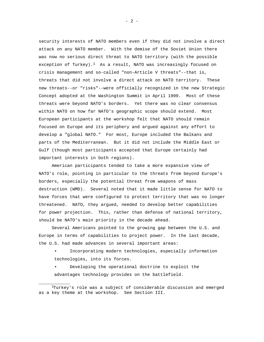security interests of NATO members even if they did not involve a direct attack on any NATO member. With the demise of the Soviet Union there was now no serious direct threat to NATO territory (with the possible exception of Turkey).<sup>1</sup> As a result, NATO was increasingly focused on crisis management and so-called "non-Article V threats"--that is, threats that did not involve a direct attack on NATO territory. These new threats--or "risks"--were officially recognized in the new Strategic Concept adopted at the Washington Summit in April 1999. Most of these threats were beyond NATO's borders. Yet there was no clear consensus within NATO on how far NATO's geographic scope should extend. Most European participants at the workshop felt that NATO should remain focused on Europe and its periphery and argued against any effort to develop a "global NATO." For most, Europe included the Balkans and parts of the Mediterranean. But it did not include the Middle East or Gulf (though most participants accepted that Europe certainly had important interests in both regions).

American participants tended to take a more expansive view of NATO's role, pointing in particular to the threats from beyond Europe's borders, especially the potential threat from weapons of mass destruction (WMD). Several noted that it made little sense for NATO to have forces that were configured to protect territory that was no longer threatened. NATO, they argued, needed to develop better capabilities for power projection. This, rather than defense of national territory, should be NATO's main priority in the decade ahead.

Several Americans pointed to the growing gap between the U.S. and Europe in terms of capabilities to project power. In the last decade, the U.S. had made advances in several important areas:

- Incorporating modern technologies, especially information technologies, into its forces.
- Developing the operational doctrine to exploit the advantages technology provides on the battlefield.

\_\_\_\_\_\_\_\_\_\_\_\_

<sup>1</sup>Turkey's role was a subject of considerable discussion and emerged as a key theme at the workshop. See Section III.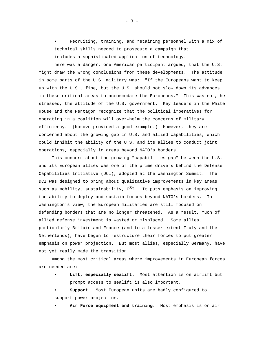Recruiting, training, and retaining personnel with a mix of technical skills needed to prosecute a campaign that includes a sophisticated application of technology.

There was a danger, one American participant argued, that the U.S. might draw the wrong conclusions from these developments. The attitude in some parts of the U.S. military was: "If the Europeans want to keep up with the U.S., fine, but the U.S. should not slow down its advances in these critical areas to accommodate the Europeans." This was not, he stressed, the attitude of the U.S. government. Key leaders in the White House and the Pentagon recognize that the political imperatives for operating in a coalition will overwhelm the concerns of military efficiency. (Kosovo provided a good example.) However, they are concerned about the growing gap in U.S. and allied capabilities, which could inhibit the ability of the U.S. and its allies to conduct joint operations, especially in areas beyond NATO's borders.

This concern about the growing "capabilities gap" between the U.S. and its European allies was one of the prime drivers behind the Defense Capabilities Initiative (DCI), adopted at the Washington Summit. The DCI was designed to bring about qualitative improvements in key areas such as mobility, sustainability,  $C^3I$ . It puts emphasis on improving the ability to deploy and sustain forces beyond NATO's borders. In Washington's view, the European militaries are still focused on defending borders that are no longer threatened. As a result, much of allied defense investment is wasted or misplaced. Some allies, particularly Britain and France (and to a lesser extent Italy and the Netherlands), have begun to restructure their forces to put greater emphasis on power projection. But most allies, especially Germany, have not yet really made the transition.

Among the most critical areas where improvements in European forces are needed are:

Lift, especially sealift. Most attention is on airlift but prompt access to sealift is also important.

• **Support.** Most European units are badly configured to support power projection.

• **Air Force equipment and training.** Most emphasis is on air

- 3 -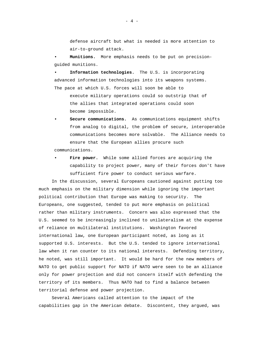defense aircraft but what is needed is more attention to air-to-ground attack.

• **Munitions.** More emphasis needs to be put on precisionguided munitions.

• **Information technologies.** The U.S. is incorporating advanced information technologies into its weapons systems. The pace at which U.S. forces will soon be able to

execute military operations could so outstrip that of the allies that integrated operations could soon become impossible.

• **Secure communications.** As communications equipment shifts from analog to digital, the problem of secure, interoperable communications becomes more solvable. The Alliance needs to ensure that the European allies procure such

communications.

Fire power. While some allied forces are acquiring the capability to project power, many of their forces don't have sufficient fire power to conduct serious warfare.

In the discussion, several Europeans cautioned against putting too much emphasis on the military dimension while ignoring the important political contribution that Europe was making to security. The Europeans, one suggested, tended to put more emphasis on political rather than military instruments. Concern was also expressed that the U.S. seemed to be increasingly inclined to unilateralism at the expense of reliance on multilateral institutions. Washington favored international law, one European participant noted, as long as it supported U.S. interests. But the U.S. tended to ignore international law when it ran counter to its national interests. Defending territory, he noted, was still important. It would be hard for the new members of NATO to get public support for NATO if NATO were seen to be an alliance only for power projection and did not concern itself with defending the territory of its members. Thus NATO had to find a balance between territorial defense and power projection.

Several Americans called attention to the impact of the capabilities gap in the American debate. Discontent, they argued, was

 $- 4 -$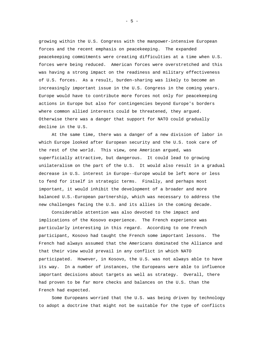growing within the U.S. Congress with the manpower-intensive European forces and the recent emphasis on peacekeeping. The expanded peacekeeping commitments were creating difficulties at a time when U.S. forces were being reduced. American forces were overstretched and this was having a strong impact on the readiness and military effectiveness of U.S. forces. As a result, burden-sharing was likely to become an increasingly important issue in the U.S. Congress in the coming years. Europe would have to contribute more forces not only for peacekeeping actions in Europe but also for contingencies beyond Europe's borders where common allied interests could be threatened, they argued. Otherwise there was a danger that support for NATO could gradually decline in the U.S.

At the same time, there was a danger of a new division of labor in which Europe looked after European security and the U.S. took care of the rest of the world. This view, one American argued, was superficially attractive, but dangerous. It could lead to growing unilateralism on the part of the U.S. It would also result in a gradual decrease in U.S. interest in Europe--Europe would be left more or less to fend for itself in strategic terms. Finally, and perhaps most important, it would inhibit the development of a broader and more balanced U.S.-European partnership, which was necessary to address the new challenges facing the U.S. and its allies in the coming decade.

Considerable attention was also devoted to the impact and implications of the Kosovo experience. The French experience was particularly interesting in this regard. According to one French participant, Kosovo had taught the French some important lessons. The French had always assumed that the Americans dominated the Alliance and that their view would prevail in any conflict in which NATO participated. However, in Kosovo, the U.S. was not always able to have its way. In a number of instances, the Europeans were able to influence important decisions about targets as well as strategy. Overall, there had proven to be far more checks and balances on the U.S. than the French had expected.

Some Europeans worried that the U.S. was being driven by technology to adopt a doctrine that might not be suitable for the type of conflicts

 $- 5 -$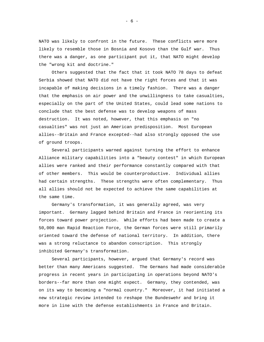NATO was likely to confront in the future. These conflicts were more likely to resemble those in Bosnia and Kosovo than the Gulf war. Thus there was a danger, as one participant put it, that NATO might develop the "wrong kit and doctrine."

Others suggested that the fact that it took NATO 78 days to defeat Serbia showed that NATO did not have the right forces and that it was incapable of making decisions in a timely fashion. There was a danger that the emphasis on air power and the unwillingness to take casualties, especially on the part of the United States, could lead some nations to conclude that the best defense was to develop weapons of mass destruction. It was noted, however, that this emphasis on "no casualties" was not just an American predisposition. Most European allies--Britain and France excepted--had also strongly opposed the use of ground troops.

Several participants warned against turning the effort to enhance Alliance military capabilities into a "beauty contest" in which European allies were ranked and their performance constantly compared with that of other members. This would be counterproductive. Individual allies had certain strengths. These strengths were often complementary. Thus all allies should not be expected to achieve the same capabilities at the same time.

Germany's transformation, it was generally agreed, was very important. Germany lagged behind Britain and France in reorienting its forces toward power projection. While efforts had been made to create a 50,000 man Rapid Reaction Force, the German forces were still primarily oriented toward the defense of national territory. In addition, there was a strong reluctance to abandon conscription. This strongly inhibited Germany's transformation.

Several participants, however, argued that Germany's record was better than many Americans suggested. The Germans had made considerable progress in recent years in participating in operations beyond NATO's borders--far more than one might expect. Germany, they contended, was on its way to becoming a "normal country." Moreover, it had initiated a new strategic review intended to reshape the Bundeswehr and bring it more in line with the defense establishments in France and Britain.

 $- 6 -$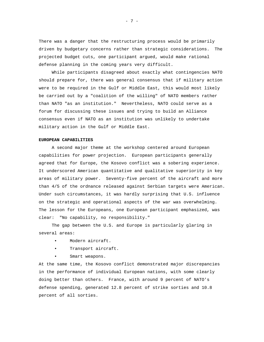There was a danger that the restructuring process would be primarily driven by budgetary concerns rather than strategic considerations. The projected budget cuts, one participant argued, would make rational defense planning in the coming years very difficult.

While participants disagreed about exactly what contingencies NATO should prepare for, there was general consensus that if military action were to be required in the Gulf or Middle East, this would most likely be carried out by a "coalition of the willing" of NATO members rather than NATO "as an institution." Nevertheless, NATO could serve as a forum for discussing these issues and trying to build an Alliance consensus even if NATO as an institution was unlikely to undertake military action in the Gulf or Middle East.

#### **EUROPEAN CAPABILITIES**

A second major theme at the workshop centered around European capabilities for power projection. European participants generally agreed that for Europe, the Kosovo conflict was a sobering experience. It underscored American quantitative and qualitative superiority in key areas of military power. Seventy-five percent of the aircraft and more than 4/5 of the ordnance released against Serbian targets were American. Under such circumstances, it was hardly surprising that U.S. influence on the strategic and operational aspects of the war was overwhelming. The lesson for the Europeans, one European participant emphasized, was clear: "No capability, no responsibility."

The gap between the U.S. and Europe is particularly glaring in several areas:

- Modern aircraft.
- Transport aircraft.
- Smart weapons.

At the same time, the Kosovo conflict demonstrated major discrepancies in the performance of individual European nations, with some clearly doing better than others. France, with around 9 percent of NATO's defense spending, generated 12.8 percent of strike sorties and 10.8 percent of all sorties.

- 7 -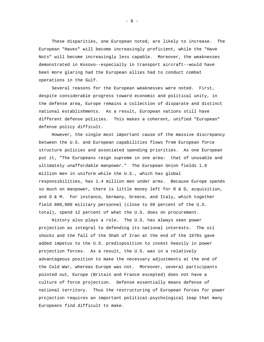These disparities, one European noted, are likely to increase. The European "Haves" will become increasingly proficient, while the "Have Nots" will become increasingly less capable. Moreover, the weaknesses demonstrated in Kosovo--especially in transport aircraft--would have been more glaring had the European allies had to conduct combat operations in the Gulf.

Several reasons for the European weaknesses were noted. First, despite considerable progress toward economic and political unity, in the defense area, Europe remains a collection of disparate and distinct national establishments. As a result, European nations still have different defense policies. This makes a coherent, unified "European" defense policy difficult.

However, the single most important cause of the massive discrepancy between the U.S. and European capabilities flows from European force structure policies and associated spending priorities. As one European put it, "The Europeans reign supreme in one area: that of unusable and ultimately unaffordable manpower." The European Union fields 1.9 million men in uniform while the U.S., which has global responsibilities, has 1.4 million men under arms. Because Europe spends so much on manpower, there is little money left for R & D, acquisition, and O & M. For instance, Germany, Greece, and Italy, which together field 800,000 military personnel (close to 60 percent of the U.S. total), spend 12 percent of what the U.S. does on procurement.

History also plays a role. The U.S. has always seen power projection as integral to defending its national interests. The oil shocks and the fall of the Shah of Iran at the end of the 1970s gave added impetus to the U.S. predisposition to invest heavily in power projection forces. As a result, the U.S. was in a relatively advantageous position to make the necessary adjustments at the end of the Cold War, whereas Europe was not. Moreover, several participants pointed out, Europe (Britain and France excepted) does not have a culture of force projection. Defense essentially means defense of national territory. Thus the restructuring of European forces for power projection requires an important political-psychological leap that many Europeans find difficult to make.

- 8 -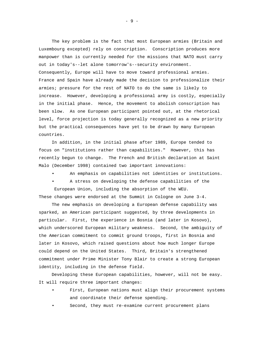The key problem is the fact that most European armies (Britain and Luxembourg excepted) rely on conscription. Conscription produces more manpower than is currently needed for the missions that NATO must carry out in today's--let alone tomorrow's--security environment. Consequently, Europe will have to move toward professional armies. France and Spain have already made the decision to professionalize their armies; pressure for the rest of NATO to do the same is likely to increase. However, developing a professional army is costly, especially in the initial phase. Hence, the movement to abolish conscription has been slow. As one European participant pointed out, at the rhetorical level, force projection is today generally recognized as a new priority but the practical consequences have yet to be drawn by many European countries.

In addition, in the initial phase after 1989, Europe tended to focus on "institutions rather than capabilities." However, this has recently begun to change. The French and British declaration at Saint Malo (December 1998) contained two important innovations:

• An emphasis on capabilities not identities or institutions.

• A stress on developing the defense capabilities of the European Union, including the absorption of the WEU.

These changes were endorsed at the Summit in Cologne on June 3-4.

The new emphasis on developing a European defense capability was sparked, an American participant suggested, by three developments in particular. First, the experience in Bosnia (and later in Kosovo), which underscored European military weakness. Second, the ambiguity of the American commitment to commit ground troops, first in Bosnia and later in Kosovo, which raised questions about how much longer Europe could depend on the United States. Third, Britain's strengthened commitment under Prime Minister Tony Blair to create a strong European identity, including in the defense field.

Developing these European capabilities, however, will not be easy. It will require three important changes:

- First, European nations must align their procurement systems and coordinate their defense spending.
- Second, they must re-examine current procurement plans

- 9 -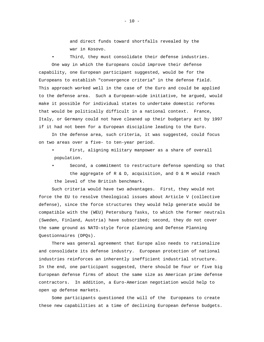and direct funds toward shortfalls revealed by the war in Kosovo.

Third, they must consolidate their defense industries. One way in which the Europeans could improve their defense capability, one European participant suggested, would be for the Europeans to establish "convergence criteria" in the defense field. This approach worked well in the case of the Euro and could be applied to the defense area. Such a European-wide initiative, he argued, would make it possible for individual states to undertake domestic reforms that would be politically difficult in a national context. France, Italy, or Germany could not have cleaned up their budgetary act by 1997 if it had not been for a European discipline leading to the Euro.

In the defense area, such criteria, it was suggested, could focus on two areas over a five- to ten-year period.

First, aligning military manpower as a share of overall population.

Second, a commitment to restructure defense spending so that the aggregate of R & D, acquisition, and O & M would reach the level of the British benchmark.

Such criteria would have two advantages. First, they would not force the EU to resolve theological issues about Article V (collective defense), since the force structures they would help generate would be compatible with the (WEU) Petersburg Tasks, to which the former neutrals (Sweden, Finland, Austria) have subscribed; second, they do not cover the same ground as NATO-style force planning and Defense Planning Questionnaires (DPQs).

There was general agreement that Europe also needs to rationalize and consolidate its defense industry. European protection of national industries reinforces an inherently inefficient industrial structure. In the end, one participant suggested, there should be four or five big European defense firms of about the same size as American prime defense contractors. In addition, a Euro-American negotiation would help to open up defense markets.

Some participants questioned the will of the Europeans to create these new capabilities at a time of declining European defense budgets.

 $- 10 -$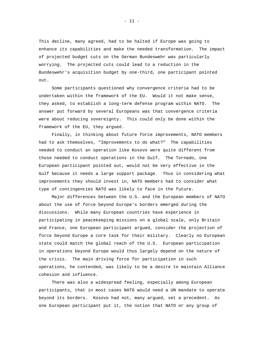This decline, many agreed, had to be halted if Europe was going to enhance its capabilities and make the needed transformation. The impact of projected budget cuts on the German Bundeswehr was particularly worrying. The projected cuts could lead to a reduction in the Bundeswehr's acquisition budget by one-third, one participant pointed out.

Some participants questioned why convergence criteria had to be undertaken within the framework of the EU. Would it not make sense, they asked, to establish a long-term defense program within NATO. The answer put forward by several Europeans was that convergence criteria were about reducing sovereignty. This could only be done within the framework of the EU, they argued.

Finally, in thinking about future force improvements, NATO members had to ask themselves, "Improvements to do what?" The capabilities needed to conduct an operation like Kosovo were quite different from those needed to conduct operations in the Gulf. The Tornado, one European participant pointed out, would not be very effective in the Gulf because it needs a large support package. Thus in considering what improvements they should invest in, NATO members had to consider what type of contingencies NATO was likely to face in the future.

Major differences between the U.S. and the European members of NATO about the use of force beyond Europe's borders emerged during the discussions. While many European countries have experience in participating in peacekeeping missions on a global scale, only Britain and France, one European participant argued, consider the projection of force beyond Europe a core task for their military. Clearly no European state could match the global reach of the U.S. European participation in operations beyond Europe would thus largely depend on the nature of the crisis. The main driving force for participation in such operations, he contended, was likely to be a desire to maintain Alliance cohesion and influence.

There was also a widespread feeling, especially among European participants, that in most cases NATO would need a UN mandate to operate beyond its borders. Kosovo had not, many argued, set a precedent. As one European participant put it, the notion that NATO or any group of

- 11 -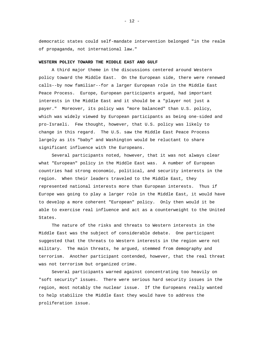democratic states could self-mandate intervention belonged "in the realm of propaganda, not international law."

#### **WESTERN POLICY TOWARD THE MIDDLE EAST AND GULF**

A third major theme in the discussions centered around Western policy toward the Middle East. On the European side, there were renewed calls--by now familiar--for a larger European role in the Middle East Peace Process. Europe, European participants argued, had important interests in the Middle East and it should be a "player not just a payer." Moreover, its policy was "more balanced" than U.S. policy, which was widely viewed by European participants as being one-sided and pro-Israeli. Few thought, however, that U.S. policy was likely to change in this regard. The U.S. saw the Middle East Peace Process largely as its "baby" and Washington would be reluctant to share significant influence with the Europeans.

Several participants noted, however, that it was not always clear what "European" policy in the Middle East was. A number of European countries had strong economic, political, and security interests in the region. When their leaders traveled to the Middle East, they represented national interests more than European interests. Thus if Europe was going to play a larger role in the Middle East, it would have to develop a more coherent "European" policy. Only then would it be able to exercise real influence and act as a counterweight to the United States.

The nature of the risks and threats to Western interests in the Middle East was the subject of considerable debate. One participant suggested that the threats to Western interests in the region were not military. The main threats, he argued, stemmed from demography and terrorism. Another participant contended, however, that the real threat was not terrorism but organized crime.

Several participants warned against concentrating too heavily on "soft security" issues. There were serious hard security issues in the region, most notably the nuclear issue. If the Europeans really wanted to help stabilize the Middle East they would have to address the proliferation issue.

- 12 -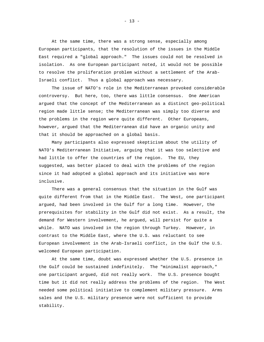At the same time, there was a strong sense, especially among European participants, that the resolution of the issues in the Middle East required a "global approach." The issues could not be resolved in isolation. As one European participant noted, it would not be possible to resolve the proliferation problem without a settlement of the Arab-Israeli conflict. Thus a global approach was necessary.

The issue of NATO's role in the Mediterranean provoked considerable controversy. But here, too, there was little consensus. One American argued that the concept of the Mediterranean as a distinct geo-political region made little sense; the Mediterranean was simply too diverse and the problems in the region were quite different. Other Europeans, however, argued that the Mediterranean did have an organic unity and that it should be approached on a global basis.

Many participants also expressed skepticism about the utility of NATO's Mediterranean Initiative, arguing that it was too selective and had little to offer the countries of the region. The EU, they suggested, was better placed to deal with the problems of the region since it had adopted a global approach and its initiative was more inclusive.

There was a general consensus that the situation in the Gulf was quite different from that in the Middle East. The West, one participant argued, had been involved in the Gulf for a long time. However, the prerequisites for stability in the Gulf did not exist. As a result, the demand for Western involvement, he argued, will persist for quite a while. NATO was involved in the region through Turkey. However, in contrast to the Middle East, where the U.S. was reluctant to see European involvement in the Arab-Israeli conflict, in the Gulf the U.S. welcomed European participation.

At the same time, doubt was expressed whether the U.S. presence in the Gulf could be sustained indefinitely. The "minimalist approach," one participant argued, did not really work. The U.S. presence bought time but it did not really address the problems of the region. The West needed some political initiative to complement military pressure. Arms sales and the U.S. military presence were not sufficient to provide stability.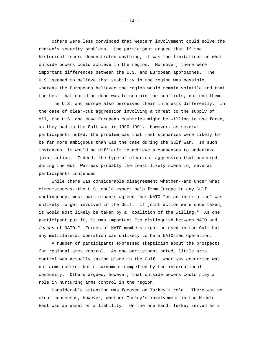Others were less convinced that Western involvement could solve the region's security problems. One participant argued that if the historical record demonstrated anything, it was the limitations on what outside powers could achieve in the region. Moreover, there were important differences between the U.S. and European approaches. The U.S. seemed to believe that stability in the region was possible, whereas the Europeans believed the region would remain volatile and that the best that could be done was to contain the conflicts, not end them.

The U.S. and Europe also perceived their interests differently. In the case of clear-cut aggression involving a threat to the supply of oil, the U.S. and some European countries might be willing to use force, as they had in the Gulf War in 1990-1991. However, as several participants noted, the problem was that most scenarios were likely to be far more ambiguous than was the case during the Gulf War. In such instances, it would be difficult to achieve a consensus to undertake joint action. Indeed, the type of clear-cut aggression that occurred during the Gulf War was probably the least likely scenario, several participants contended.

While there was considerable disagreement whether--and under what circumstances--the U.S. could expect help from Europe in any Gulf contingency, most participants agreed that NATO "as an institution" was unlikely to get involved in the Gulf. If joint action were undertaken, it would most likely be taken by a "coalition of the willing." As one participant put it, it was important "to distinguish between NATO and forces of NATO." Forces of NATO members might be used in the Gulf but any multilateral operation was unlikely to be a NATO-led operation.

A number of participants expressed skepticism about the prospects for regional arms control. As one participant noted, little arms control was actually taking place in the Gulf. What was occurring was not arms control but disarmament compelled by the international community. Others argued, however, that outside powers could play a role in nurturing arms control in the region.

Considerable attention was focused on Turkey's role. There was no clear consensus, however, whether Turkey's involvement in the Middle East was an asset or a liability. On the one hand, Turkey served as a

- 14 -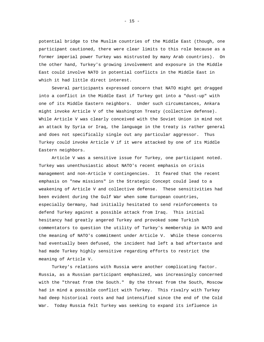potential bridge to the Muslim countries of the Middle East (though, one participant cautioned, there were clear limits to this role because as a former imperial power Turkey was mistrusted by many Arab countries). On the other hand, Turkey's growing involvement and exposure in the Middle East could involve NATO in potential conflicts in the Middle East in which it had little direct interest.

Several participants expressed concern that NATO might get dragged into a conflict in the Middle East if Turkey got into a "dust-up" with one of its Middle Eastern neighbors. Under such circumstances, Ankara might invoke Article V of the Washington Treaty (collective defense). While Article V was clearly conceived with the Soviet Union in mind not an attack by Syria or Iraq, the language in the treaty is rather general and does not specifically single out any particular aggressor. Thus Turkey could invoke Article V if it were attacked by one of its Middle Eastern neighbors.

Article V was a sensitive issue for Turkey, one participant noted. Turkey was unenthusiastic about NATO's recent emphasis on crisis management and non-Article V contingencies. It feared that the recent emphasis on "new missions" in the Strategic Concept could lead to a weakening of Article V and collective defense. These sensitivities had been evident during the Gulf War when some European countries, especially Germany, had initially hesitated to send reinforcements to defend Turkey against a possible attack from Iraq. This initial hesitancy had greatly angered Turkey and provoked some Turkish commentators to question the utility of Turkey's membership in NATO and the meaning of NATO's commitment under Article V. While these concerns had eventually been defused, the incident had left a bad aftertaste and had made Turkey highly sensitive regarding efforts to restrict the meaning of Article V.

Turkey's relations with Russia were another complicating factor. Russia, as a Russian participant emphasized, was increasingly concerned with the "threat from the South." By the threat from the South, Moscow had in mind a possible conflict with Turkey. This rivalry with Turkey had deep historical roots and had intensified since the end of the Cold War. Today Russia felt Turkey was seeking to expand its influence in

- 15 -